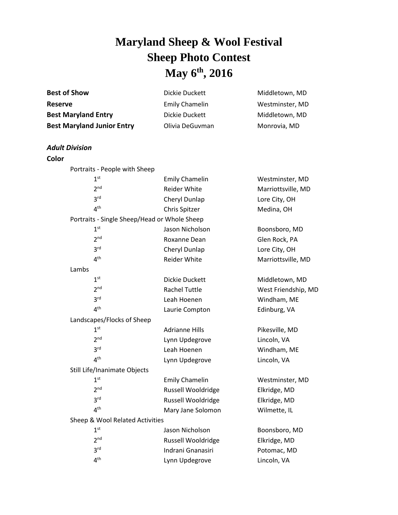## **Maryland Sheep & Wool Festival Sheep Photo Contest May 6 th , 2016**

| <b>Best of Show</b>                                                               | Dickie Duckett                                             | Middletown, MD                                    |                       |  |  |
|-----------------------------------------------------------------------------------|------------------------------------------------------------|---------------------------------------------------|-----------------------|--|--|
| <b>Reserve</b><br><b>Best Maryland Entry</b><br><b>Best Maryland Junior Entry</b> | <b>Emily Chamelin</b><br>Dickie Duckett<br>Olivia DeGuvman | Westminster, MD<br>Middletown, MD<br>Monrovia, MD |                       |  |  |
|                                                                                   |                                                            |                                                   | <b>Adult Division</b> |  |  |
|                                                                                   |                                                            |                                                   | Color                 |  |  |
| Portraits - People with Sheep                                                     |                                                            |                                                   |                       |  |  |
| 1 <sup>st</sup>                                                                   | <b>Emily Chamelin</b>                                      | Westminster, MD                                   |                       |  |  |
| 2 <sup>nd</sup>                                                                   | <b>Reider White</b>                                        | Marriottsville, MD                                |                       |  |  |
| 3 <sup>rd</sup>                                                                   | Cheryl Dunlap                                              | Lore City, OH                                     |                       |  |  |
| 4 <sup>th</sup>                                                                   | Chris Spitzer                                              | Medina, OH                                        |                       |  |  |
| Portraits - Single Sheep/Head or Whole Sheep                                      |                                                            |                                                   |                       |  |  |
| 1 <sup>st</sup>                                                                   | Jason Nicholson                                            | Boonsboro, MD                                     |                       |  |  |
| 2 <sup>nd</sup>                                                                   | Roxanne Dean                                               | Glen Rock, PA                                     |                       |  |  |
| 3 <sup>rd</sup>                                                                   | Cheryl Dunlap                                              | Lore City, OH                                     |                       |  |  |
| 4 <sup>th</sup>                                                                   | Reider White                                               | Marriottsville, MD                                |                       |  |  |
| Lambs                                                                             |                                                            |                                                   |                       |  |  |
| 1 <sup>st</sup>                                                                   | Dickie Duckett                                             | Middletown, MD                                    |                       |  |  |
| 2 <sup>nd</sup>                                                                   | <b>Rachel Tuttle</b>                                       | West Friendship, MD                               |                       |  |  |
| 3 <sup>rd</sup>                                                                   | Leah Hoenen                                                | Windham, ME                                       |                       |  |  |
| 4 <sup>th</sup>                                                                   | Laurie Compton                                             | Edinburg, VA                                      |                       |  |  |
| Landscapes/Flocks of Sheep                                                        |                                                            |                                                   |                       |  |  |
| 1 <sup>st</sup>                                                                   | <b>Adrianne Hills</b>                                      | Pikesville, MD                                    |                       |  |  |
| 2 <sup>nd</sup>                                                                   | Lynn Updegrove                                             | Lincoln, VA                                       |                       |  |  |
| 3 <sup>rd</sup>                                                                   | Leah Hoenen                                                | Windham, ME                                       |                       |  |  |
| 4 <sup>th</sup>                                                                   | Lynn Updegrove                                             | Lincoln, VA                                       |                       |  |  |
| Still Life/Inanimate Objects                                                      |                                                            |                                                   |                       |  |  |
| 1 <sup>st</sup>                                                                   | <b>Emily Chamelin</b>                                      | Westminster, MD                                   |                       |  |  |
| 2 <sup>nd</sup>                                                                   | Russell Wooldridge                                         | Elkridge, MD                                      |                       |  |  |
| 3 <sup>rd</sup>                                                                   | Russell Wooldridge                                         | Elkridge, MD                                      |                       |  |  |
| 4 <sup>th</sup>                                                                   | Mary Jane Solomon                                          | Wilmette, IL                                      |                       |  |  |
| Sheep & Wool Related Activities                                                   |                                                            |                                                   |                       |  |  |
| 1 <sup>st</sup>                                                                   | Jason Nicholson                                            | Boonsboro, MD                                     |                       |  |  |
| 2 <sub>nd</sub>                                                                   | Russell Wooldridge                                         | Elkridge, MD                                      |                       |  |  |
| 3 <sup>rd</sup>                                                                   | Indrani Gnanasiri                                          | Potomac, MD                                       |                       |  |  |
| 4 <sup>th</sup>                                                                   | Lynn Updegrove                                             | Lincoln, VA                                       |                       |  |  |